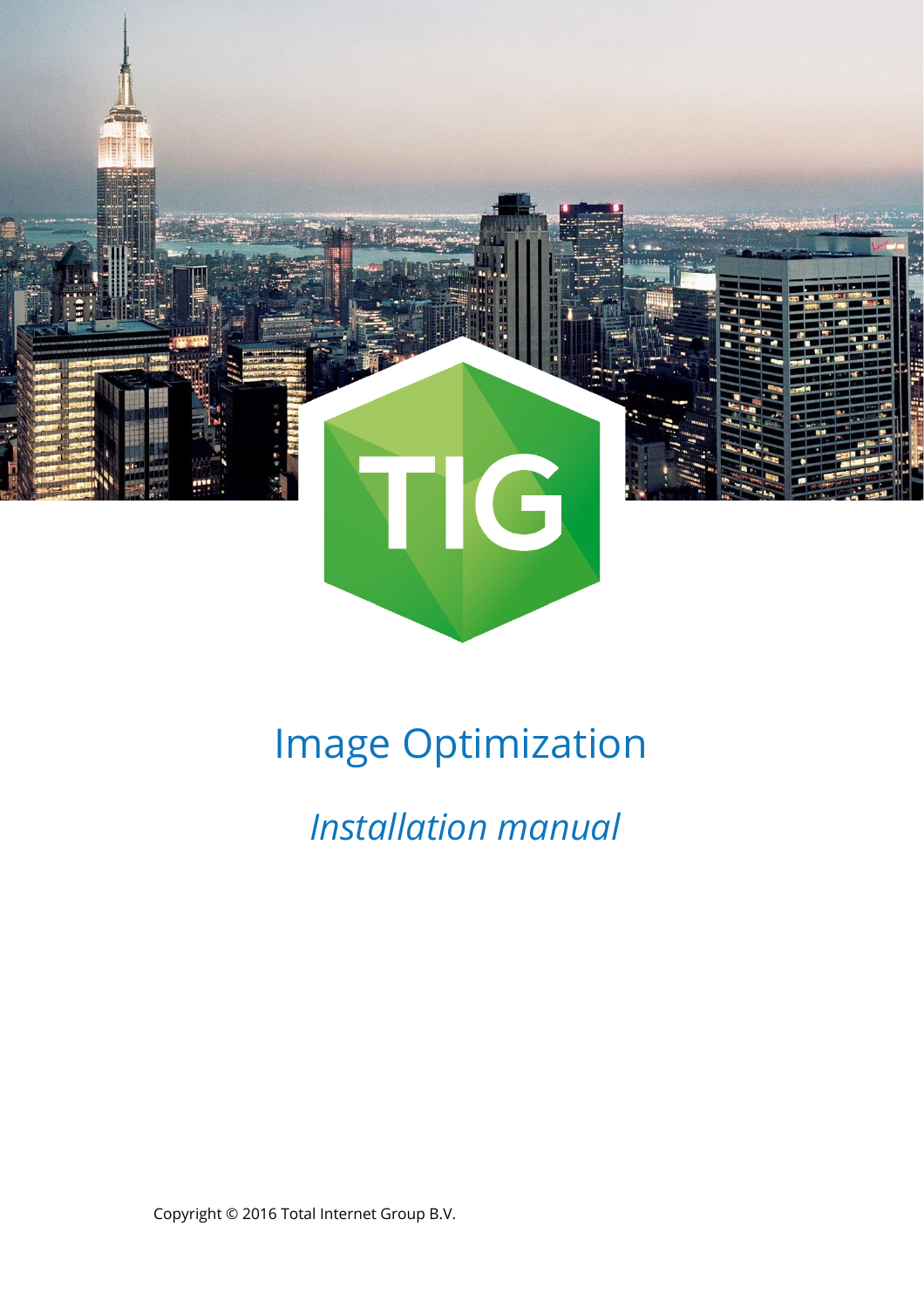

# Image Optimization

 *Installation manual*

Copyright © 2016 Total Internet Group B.V.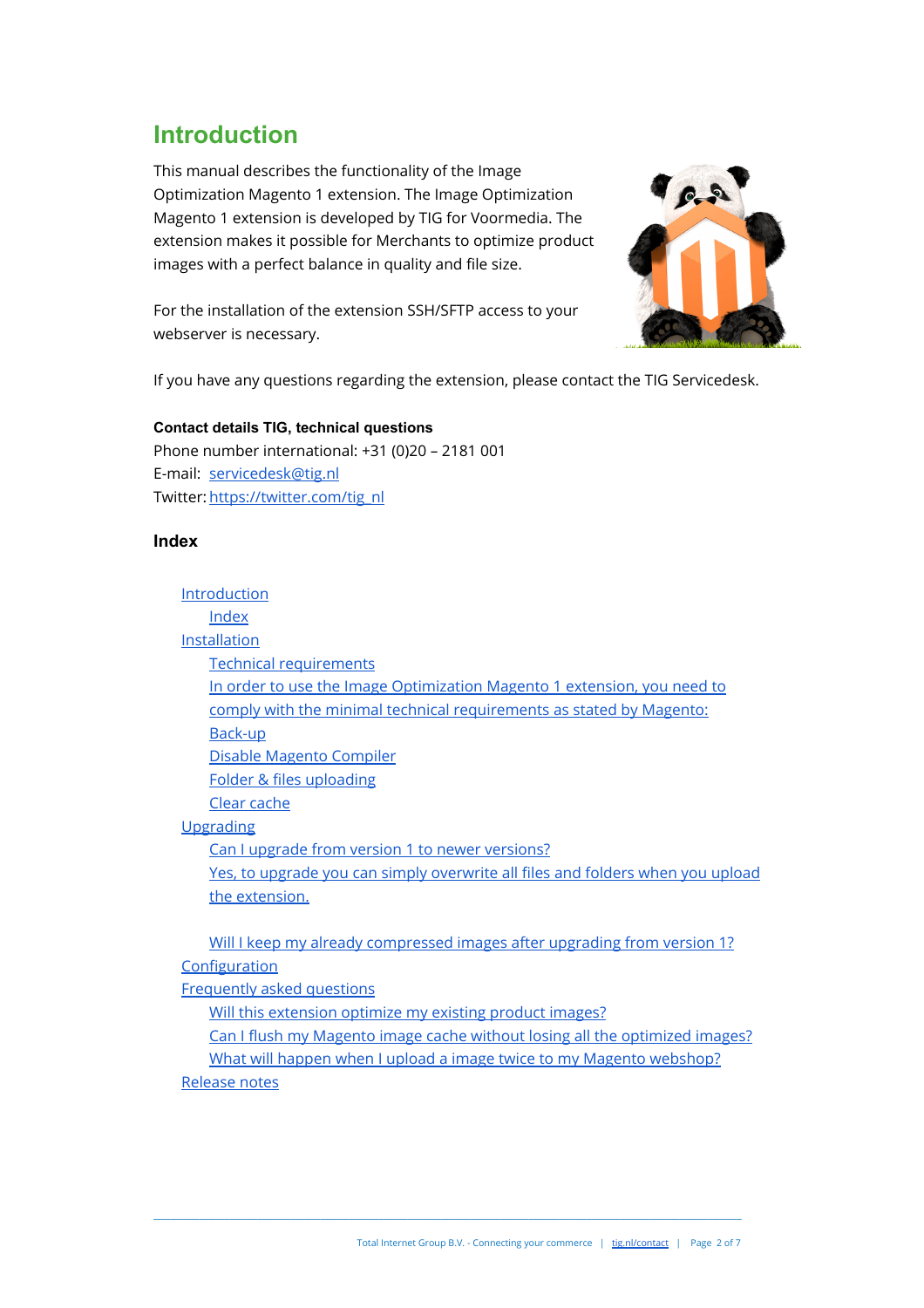### <span id="page-1-0"></span>**Introduction**

This manual describes the functionality of the Image Optimization Magento 1 extension. The Image Optimization Magento 1 extension is developed by TIG for Voormedia. The extension makes it possible for Merchants to optimize product images with a perfect balance in quality and file size.



For the installation of the extension SSH/SFTP access to your webserver is necessary.

If you have any questions regarding the extension, please contact the TIG Servicedesk.

### **Contact details TIG, technical questions** Phone number international: +31 (0)20 – 2181 001 E-mail: [servicedesk@tig.nl](mailto:servicedesk@tig.nl) Twitter: [https://twitter.com/tig\\_nl](https://twitter.com/tig_nl)

### <span id="page-1-1"></span>**Index**

[Introduction](#page-1-0) [Index](#page-1-1) [Installation](#page-2-0) [Technical requirements](#page-2-1) [In order to use the Image Optimization Magento 1 extension, you need to](#page-2-1) [comply with the minimal technical requirements as stated by Magento:](#page-2-1) [Back-up](#page-2-2) [Disable Magento Compiler](#page-2-3) [Folder & files uploading](#page-2-4) [Clear cache](#page-2-5) [Upgrading](#page-3-0) [Can I upgrade from version 1 to newer versions?](#page-3-1) [Yes, to upgrade you can simply overwrite all files and folders when you upload](#page-3-2) [the extension.](#page-3-2)

[Will I keep my already compressed images after upgrading from version 1?](#page-3-2) **[Configuration](#page-4-0)** 

[Frequently asked questions](#page-5-0)

[Will this extension optimize my existing product images?](#page-5-1)

[Can I flush my Magento image cache without losing all the optimized images?](#page-5-2)

[What will happen when I upload a image twice to my Magento webshop?](#page-5-3) [Release notes](#page-6-0)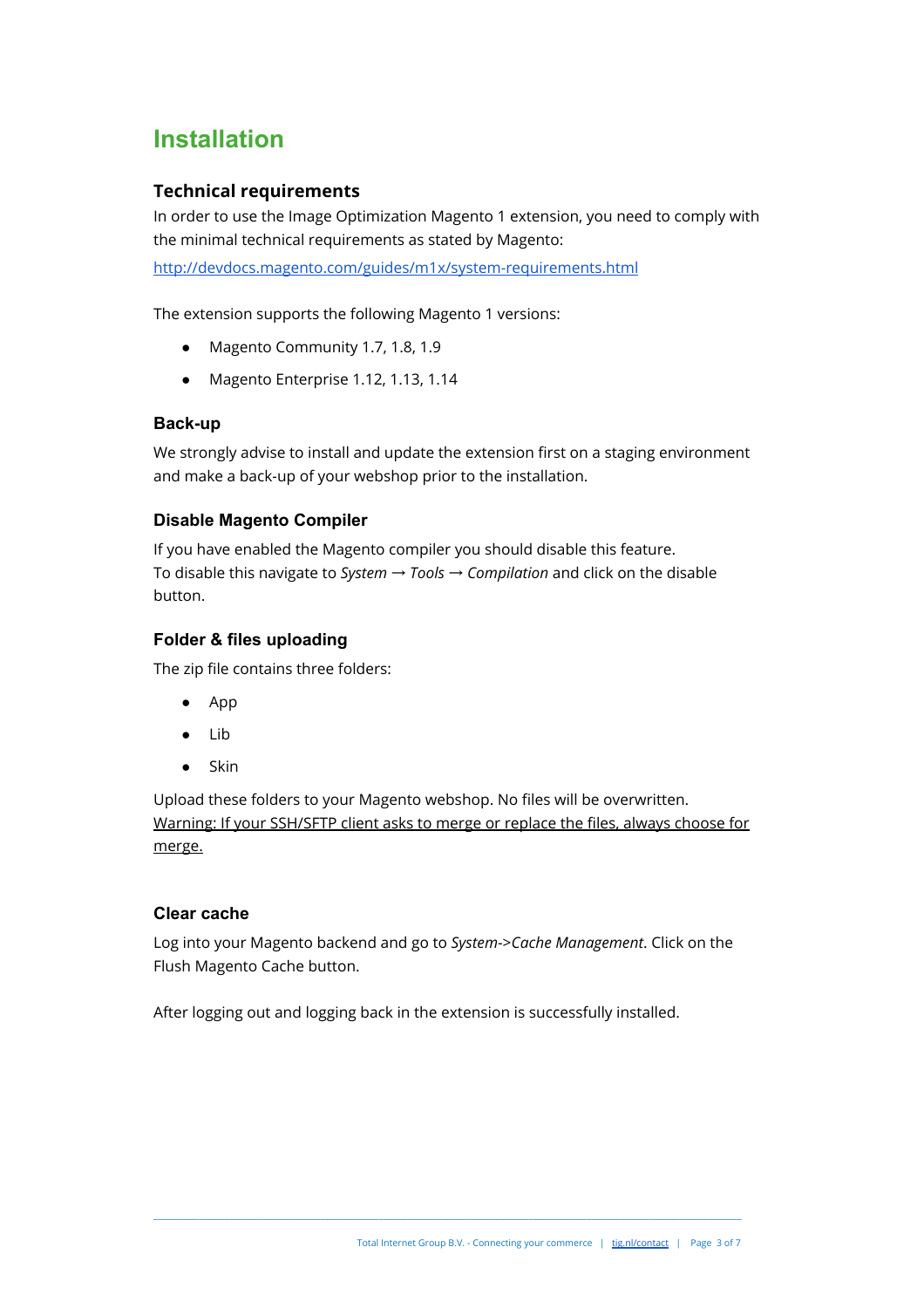### <span id="page-2-0"></span>**Installation**

### <span id="page-2-1"></span>**Technical requirements**

In order to use the Image Optimization Magento 1 extension, you need to comply with the minimal technical requirements as stated by Magento:

<http://devdocs.magento.com/guides/m1x/system-requirements.html>

The extension supports the following Magento 1 versions:

- Magento Community 1.7, 1.8, 1.9
- Magento Enterprise 1.12, 1.13, 1.14

### <span id="page-2-2"></span>**Back-up**

We strongly advise to install and update the extension first on a staging environment and make a back-up of your webshop prior to the installation.

### <span id="page-2-3"></span>**Disable Magento Compiler**

If you have enabled the Magento compiler you should disable this feature. To disable this navigate to *System* → *Tools* → *Compilation* and click on the disable button.

### <span id="page-2-4"></span>**Folder & files uploading**

The zip file contains three folders:

- App
- Lib
- **Skin**

Upload these folders to your Magento webshop. No files will be overwritten. Warning: If your SSH/SFTP client asks to merge or replace the files, always choose for merge.

#### <span id="page-2-5"></span>**Clear cache**

Log into your Magento backend and go to *System*->*Cache Management*. Click on the Flush Magento Cache button.

\_\_\_\_\_\_\_\_\_\_\_\_\_\_\_\_\_\_\_\_\_\_\_\_\_\_\_\_\_\_\_\_\_\_\_\_\_\_\_\_\_\_\_\_\_\_\_\_\_\_\_\_\_\_\_\_\_\_\_\_\_\_\_\_\_\_\_\_\_\_\_\_\_\_\_\_\_\_\_\_\_\_\_\_\_\_\_\_\_\_\_\_\_\_\_\_\_\_\_\_\_\_\_\_\_\_\_\_\_\_\_\_\_\_\_\_\_\_\_\_\_\_\_\_\_\_\_\_\_\_\_\_\_\_\_\_\_\_\_\_\_

After logging out and logging back in the extension is successfully installed.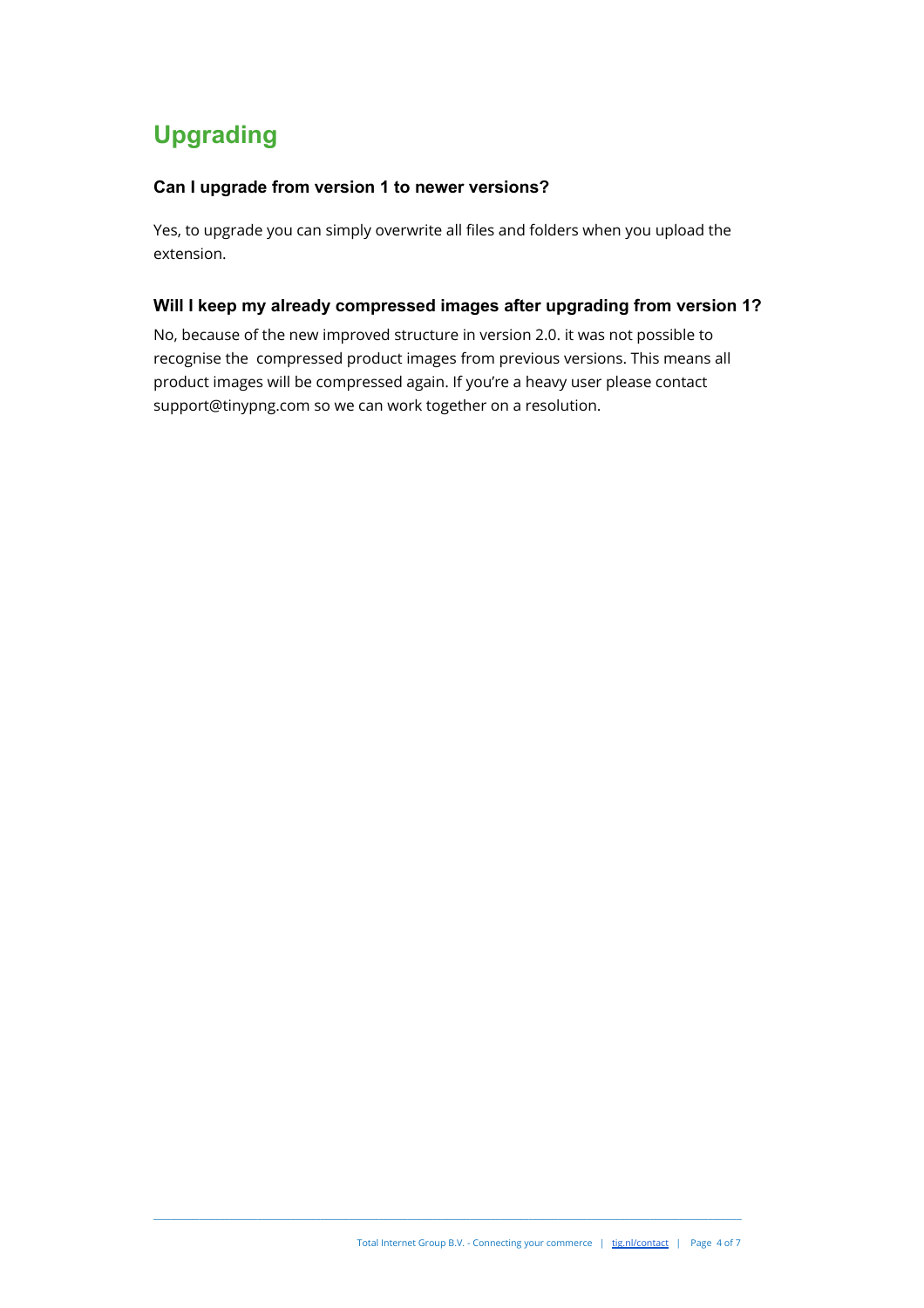# <span id="page-3-0"></span>**Upgrading**

### <span id="page-3-1"></span>**Can I upgrade from version 1 to newer versions?**

<span id="page-3-2"></span>Yes, to upgrade you can simply overwrite all files and folders when you upload the extension.

### **Will I keep my already compressed images after upgrading from version 1?**

No, because of the new improved structure in version 2.0. it was not possible to recognise the compressed product images from previous versions. This means all product images will be compressed again. If you're a heavy user please contact support@tinypng.com so we can work together on a resolution.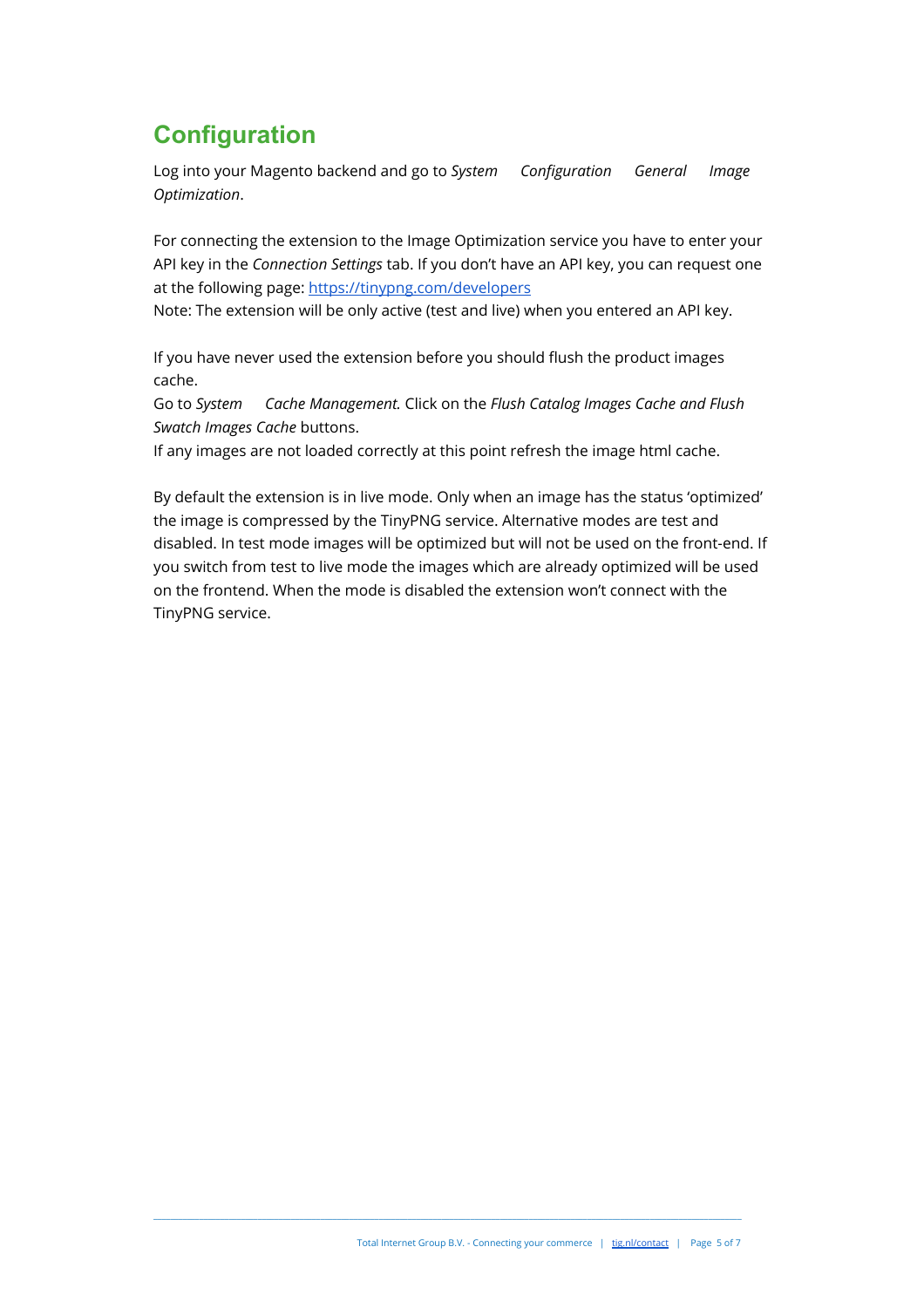# <span id="page-4-0"></span>**Configuration**

Log into your Magento backend and go to System Configuration General Image *Optimization*.

For connecting the extension to the Image Optimization service you have to enter your API key in the *Connection Settings* tab. If you don't have an API key, you can request one at the following page:<https://tinypng.com/developers>

Note: The extension will be only active (test and live) when you entered an API key.

If you have never used the extension before you should flush the product images cache.

 Go to *System Cache Management.* Click on the *Flush Catalog Images Cache and Flush Swatch Images Cache* buttons.

If any images are not loaded correctly at this point refresh the image html cache.

By default the extension is in live mode. Only when an image has the status 'optimized' the image is compressed by the TinyPNG service. Alternative modes are test and disabled. In test mode images will be optimized but will not be used on the front-end. If you switch from test to live mode the images which are already optimized will be used on the frontend. When the mode is disabled the extension won't connect with the TinyPNG service.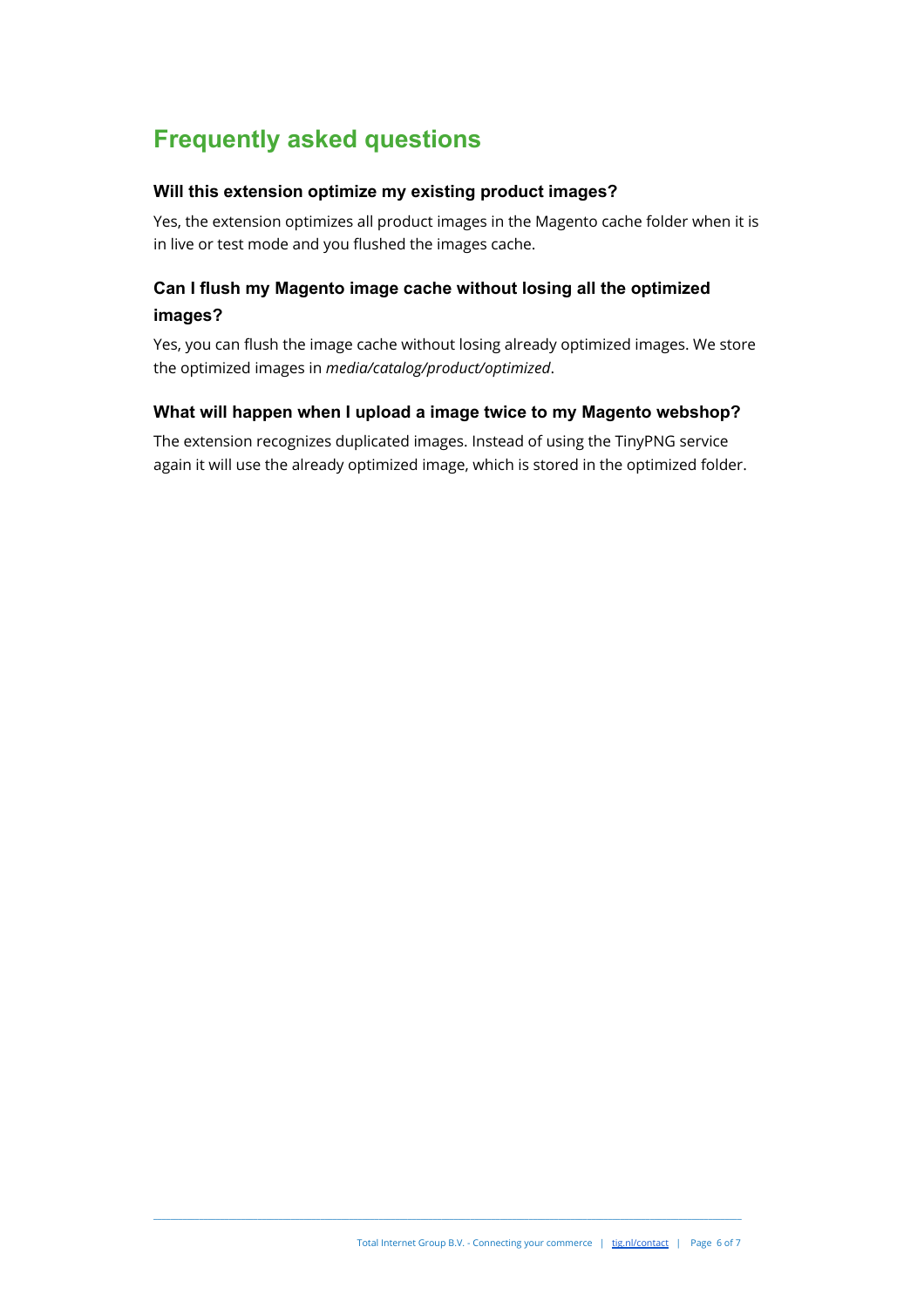# <span id="page-5-0"></span>**Frequently asked questions**

### <span id="page-5-1"></span>**Will this extension optimize my existing product images?**

Yes, the extension optimizes all product images in the Magento cache folder when it is in live or test mode and you flushed the images cache.

### <span id="page-5-2"></span>**Can I flush my Magento image cache without losing all the optimized images?**

Yes, you can flush the image cache without losing already optimized images. We store the optimized images in *media/catalog/product/optimized*.

### <span id="page-5-3"></span>**What will happen when I upload a image twice to my Magento webshop?**

The extension recognizes duplicated images. Instead of using the TinyPNG service again it will use the already optimized image, which is stored in the optimized folder.